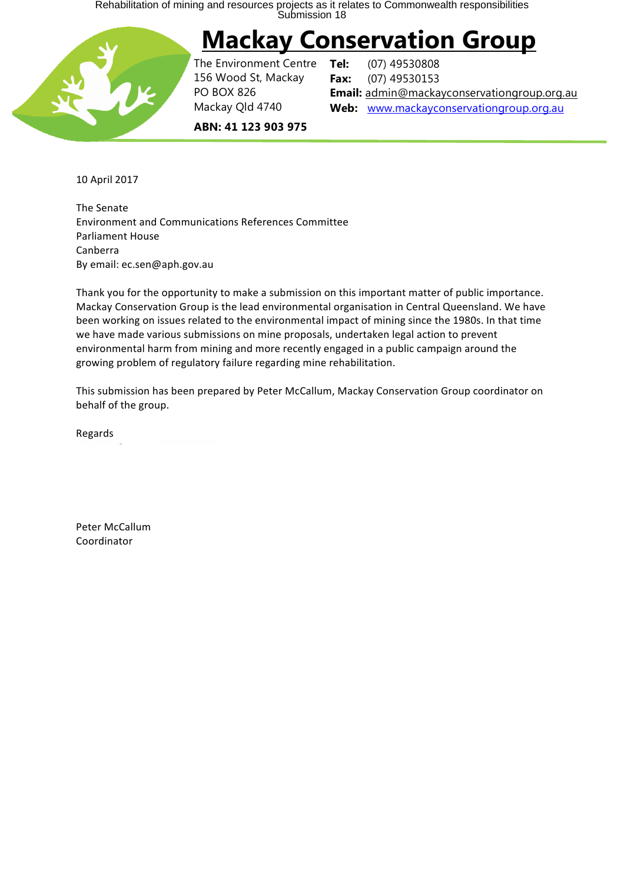Rehabilitation of mining and resources projects as it relates to Commonwealth responsibilities<br>Submission 18

# **Mackay Conservation Group**



The Environment Centre 156 Wood St, Mackay PO BOX 826 Mackay Qld 4740

**Tel:** (07) 49530808 **Fax:** (07) 49530153 **Email:** admin@mackayconservationgroup.org.au **Web:** www.mackayconservationgroup.org.au

**ABN: 41 123 903 975**

10 April 2017

**The Senate** Environment and Communications References Committee Parliament House Canberra By email: ec.sen@aph.gov.au

Thank you for the opportunity to make a submission on this important matter of public importance. Mackay Conservation Group is the lead environmental organisation in Central Queensland. We have been working on issues related to the environmental impact of mining since the 1980s. In that time we have made various submissions on mine proposals, undertaken legal action to prevent environmental harm from mining and more recently engaged in a public campaign around the growing problem of regulatory failure regarding mine rehabilitation.

This submission has been prepared by Peter McCallum, Mackay Conservation Group coordinator on behalf of the group.

Regards

Peter McCallum Coordinator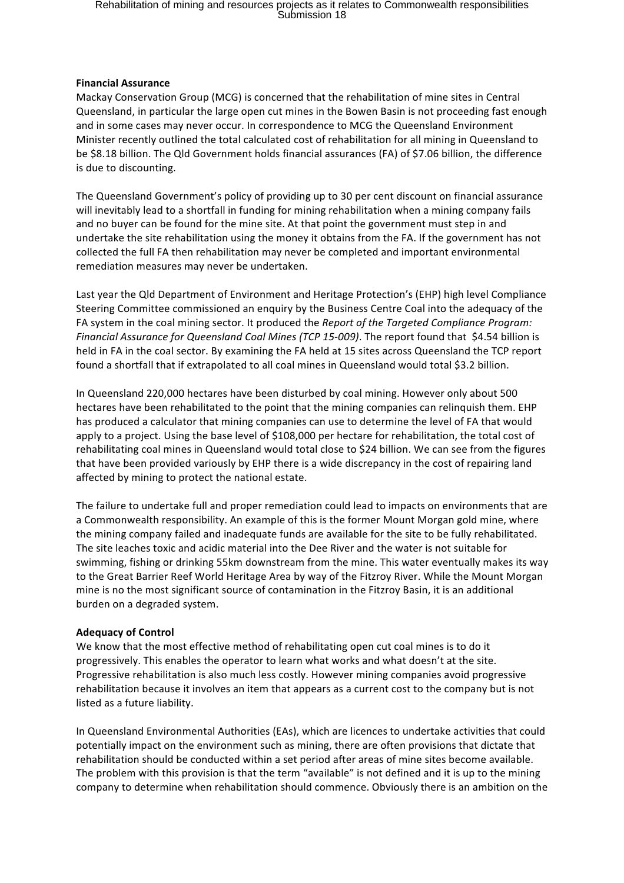## Rehabilitation of mining and resources projects as it relates to Commonwealth responsibilities<br>Submission 18

#### **Financial Assurance**

Mackay Conservation Group (MCG) is concerned that the rehabilitation of mine sites in Central Queensland, in particular the large open cut mines in the Bowen Basin is not proceeding fast enough and in some cases may never occur. In correspondence to MCG the Queensland Environment Minister recently outlined the total calculated cost of rehabilitation for all mining in Queensland to be \$8.18 billion. The Qld Government holds financial assurances (FA) of \$7.06 billion, the difference is due to discounting.

The Queensland Government's policy of providing up to 30 per cent discount on financial assurance will inevitably lead to a shortfall in funding for mining rehabilitation when a mining company fails and no buyer can be found for the mine site. At that point the government must step in and undertake the site rehabilitation using the money it obtains from the FA. If the government has not collected the full FA then rehabilitation may never be completed and important environmental remediation measures may never be undertaken.

Last year the Qld Department of Environment and Heritage Protection's (EHP) high level Compliance Steering Committee commissioned an enquiry by the Business Centre Coal into the adequacy of the FA system in the coal mining sector. It produced the *Report of the Targeted Compliance Program: Financial Assurance for Queensland Coal Mines (TCP 15-009)*. The report found that \$4.54 billion is held in FA in the coal sector. By examining the FA held at 15 sites across Queensland the TCP report found a shortfall that if extrapolated to all coal mines in Queensland would total \$3.2 billion.

In Queensland 220,000 hectares have been disturbed by coal mining. However only about 500 hectares have been rehabilitated to the point that the mining companies can relinquish them. EHP has produced a calculator that mining companies can use to determine the level of FA that would apply to a project. Using the base level of \$108,000 per hectare for rehabilitation, the total cost of rehabilitating coal mines in Queensland would total close to \$24 billion. We can see from the figures that have been provided variously by EHP there is a wide discrepancy in the cost of repairing land affected by mining to protect the national estate.

The failure to undertake full and proper remediation could lead to impacts on environments that are a Commonwealth responsibility. An example of this is the former Mount Morgan gold mine, where the mining company failed and inadequate funds are available for the site to be fully rehabilitated. The site leaches toxic and acidic material into the Dee River and the water is not suitable for swimming, fishing or drinking 55km downstream from the mine. This water eventually makes its way to the Great Barrier Reef World Heritage Area by way of the Fitzroy River. While the Mount Morgan mine is no the most significant source of contamination in the Fitzroy Basin, it is an additional burden on a degraded system.

#### **Adequacy of Control**

We know that the most effective method of rehabilitating open cut coal mines is to do it progressively. This enables the operator to learn what works and what doesn't at the site. Progressive rehabilitation is also much less costly. However mining companies avoid progressive rehabilitation because it involves an item that appears as a current cost to the company but is not listed as a future liability.

In Queensland Environmental Authorities (EAs), which are licences to undertake activities that could potentially impact on the environment such as mining, there are often provisions that dictate that rehabilitation should be conducted within a set period after areas of mine sites become available. The problem with this provision is that the term "available" is not defined and it is up to the mining company to determine when rehabilitation should commence. Obviously there is an ambition on the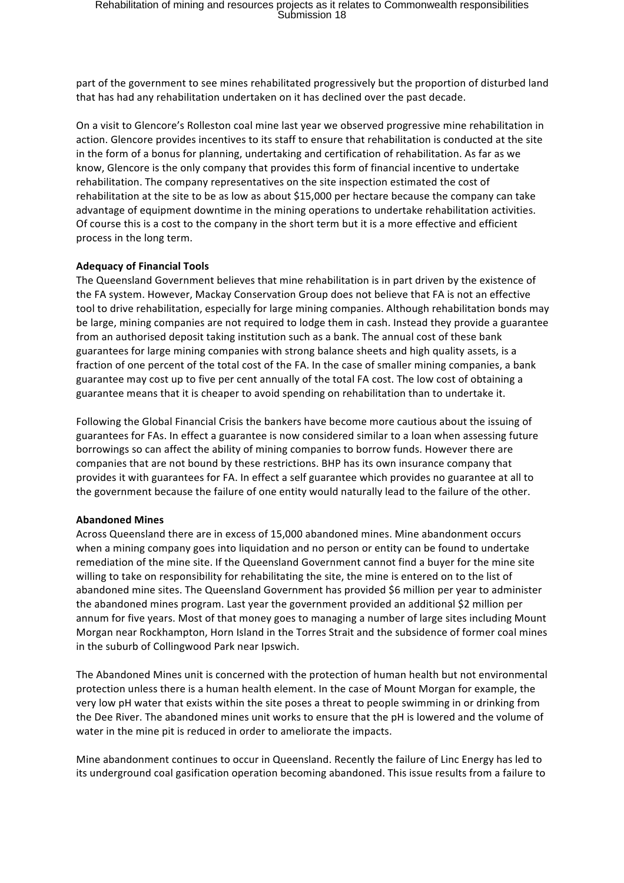part of the government to see mines rehabilitated progressively but the proportion of disturbed land that has had any rehabilitation undertaken on it has declined over the past decade.

On a visit to Glencore's Rolleston coal mine last year we observed progressive mine rehabilitation in action. Glencore provides incentives to its staff to ensure that rehabilitation is conducted at the site in the form of a bonus for planning, undertaking and certification of rehabilitation. As far as we know, Glencore is the only company that provides this form of financial incentive to undertake rehabilitation. The company representatives on the site inspection estimated the cost of rehabilitation at the site to be as low as about \$15,000 per hectare because the company can take advantage of equipment downtime in the mining operations to undertake rehabilitation activities. Of course this is a cost to the company in the short term but it is a more effective and efficient process in the long term.

#### **Adequacy of Financial Tools**

The Queensland Government believes that mine rehabilitation is in part driven by the existence of the FA system. However, Mackay Conservation Group does not believe that FA is not an effective tool to drive rehabilitation, especially for large mining companies. Although rehabilitation bonds may be large, mining companies are not required to lodge them in cash. Instead they provide a guarantee from an authorised deposit taking institution such as a bank. The annual cost of these bank guarantees for large mining companies with strong balance sheets and high quality assets, is a fraction of one percent of the total cost of the FA. In the case of smaller mining companies, a bank guarantee may cost up to five per cent annually of the total FA cost. The low cost of obtaining a guarantee means that it is cheaper to avoid spending on rehabilitation than to undertake it.

Following the Global Financial Crisis the bankers have become more cautious about the issuing of guarantees for FAs. In effect a guarantee is now considered similar to a loan when assessing future borrowings so can affect the ability of mining companies to borrow funds. However there are companies that are not bound by these restrictions. BHP has its own insurance company that provides it with guarantees for FA. In effect a self guarantee which provides no guarantee at all to the government because the failure of one entity would naturally lead to the failure of the other.

#### **Abandoned Mines**

Across Queensland there are in excess of 15,000 abandoned mines. Mine abandonment occurs when a mining company goes into liquidation and no person or entity can be found to undertake remediation of the mine site. If the Queensland Government cannot find a buyer for the mine site willing to take on responsibility for rehabilitating the site, the mine is entered on to the list of abandoned mine sites. The Queensland Government has provided \$6 million per year to administer the abandoned mines program. Last year the government provided an additional \$2 million per annum for five years. Most of that money goes to managing a number of large sites including Mount Morgan near Rockhampton, Horn Island in the Torres Strait and the subsidence of former coal mines in the suburb of Collingwood Park near Ipswich.

The Abandoned Mines unit is concerned with the protection of human health but not environmental protection unless there is a human health element. In the case of Mount Morgan for example, the very low pH water that exists within the site poses a threat to people swimming in or drinking from the Dee River. The abandoned mines unit works to ensure that the pH is lowered and the volume of water in the mine pit is reduced in order to ameliorate the impacts.

Mine abandonment continues to occur in Queensland. Recently the failure of Linc Energy has led to its underground coal gasification operation becoming abandoned. This issue results from a failure to